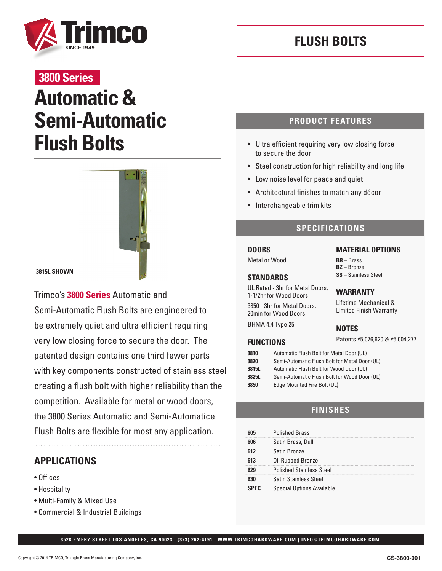

# **FLUSH BOLTS**

# **3800 Series**

# **Automatic & Semi-Automatic Flush Bolts**



**3815L SHOWN**

Trimco's **3800 Series** Automatic and Semi-Automatic Flush Bolts are engineered to be extremely quiet and ultra efficient requiring very low closing force to secure the door. The patented design contains one third fewer parts with key components constructed of stainless steel creating a flush bolt with higher reliability than the competition. Available for metal or wood doors, the 3800 Series Automatic and Semi-Automatice Flush Bolts are flexible for most any application.

### **APPLICATIONS**

- Offices
- Hospitality
- Multi-Family & Mixed Use
- Commercial & Industrial Buildings

#### **PRODUCT FEATURES**

- Ultra efficient requiring very low closing force to secure the door
- Steel construction for high reliability and long life
- Low noise level for peace and quiet
- Architectural finishes to match any décor
- Interchangeable trim kits

#### **SPECIFICATIONS**

### **DOORS**

Metal or Wood

#### **STANDARDS**

UL Rated - 3hr for Metal Doors, 1-1/2hr for Wood Doors

3850 - 3hr for Metal Doors, 20min for Wood Doors

BHMA 4.4 Type 25

#### **MATERIAL OPTIONS**

**BR** – Brass **BZ** – Bronze **SS** – Stainless Steel

#### **WARRANTY**

Lifetime Mechanical & Limited Finish Warranty

#### **NOTES**

Patents #5,076,620 & #5,004,277 **FUNCTIONS**

| 3810   | Automatic Flush Bolt for Metal Door (UL)      |  |  |  |  |  |
|--------|-----------------------------------------------|--|--|--|--|--|
| 3820   | Semi-Automatic Flush Bolt for Metal Door (UL) |  |  |  |  |  |
| 3815L  | Automatic Flush Bolt for Wood Door (UL)       |  |  |  |  |  |
| 3825L  | Semi-Automatic Flush Bolt for Wood Door (UL)  |  |  |  |  |  |
| $\sim$ | $P_1$ $P_2$ $P_3$ $P_4$ $P_5$                 |  |  |  |  |  |

**3850** Edge Mounted Fire Bolt (UL)

#### **FINISHES**

| <b>Polished Brass</b>            |
|----------------------------------|
| Satin Brass, Dull                |
| Satin Bronze                     |
| Oil Rubbed Bronze                |
| <b>Polished Stainless Steel</b>  |
| <b>Satin Stainless Steel</b>     |
| <b>Special Options Available</b> |

**3528 EMERY STREET LOS ANGELES, CA 90023 | (323) 262-4191 | WWW.TRIMCOHARDWARE.COM | INFO@TRIMCOHARDWARE.COM**